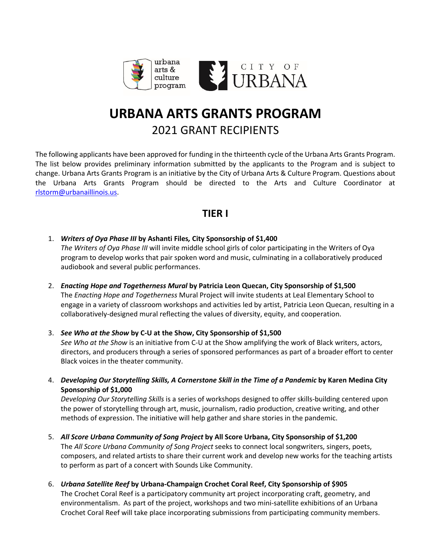

# **URBANA ARTS GRANTS PROGRAM** 2021 GRANT RECIPIENTS

The following applicants have been approved for funding in the thirteenth cycle of the Urbana Arts Grants Program. The list below provides preliminary information submitted by the applicants to the Program and is subject to change. Urbana Arts Grants Program is an initiative by the City of Urbana Arts & Culture Program. Questions about the Urbana Arts Grants Program should be directed to the Arts and Culture Coordinator at [rlstorm@urbanaillinois.us.](mailto:rlstorm@urbanaillinois.us)

# **TIER I**

1. *Writers of Oya Phase III* **by Ashanti Files***,* **City Sponsorship of \$1,400**

*The Writers of Oya Phase III* will invite middle school girls of color participating in the Writers of Oya program to develop works that pair spoken word and music, culminating in a collaboratively produced audiobook and several public performances.

2. *Enacting Hope and Togetherness Mural* **by Patricia Leon Quecan, City Sponsorship of \$1,500** The *Enacting Hope and Togetherness* Mural Project will invite students at Leal Elementary School to engage in a variety of classroom workshops and activities led by artist, Patricia Leon Quecan, resulting in a collaboratively-designed mural reflecting the values of diversity, equity, and cooperation.

3. *See Who at the Show* **by C-U at the Show, City Sponsorship of \$1,500** *See Who at the Show* is an initiative from C-U at the Show amplifying the work of Black writers, actors, directors, and producers through a series of sponsored performances as part of a broader effort to center Black voices in the theater community.

4. *Developing Our Storytelling Skills, A Cornerstone Skill in the Time of a Pandemic* **by Karen Medina City Sponsorship of \$1,000**

*Developing Our Storytelling Skills* is a series of workshops designed to offer skills-building centered upon the power of storytelling through art, music, journalism, radio production, creative writing, and other methods of expression. The initiative will help gather and share stories in the pandemic.

- 5. *All Score Urbana Community of Song Project* **by All Score Urbana, City Sponsorship of \$1,200** The *All Score Urbana Community of Song Project* seeks to connect local songwriters, singers, poets, composers, and related artists to share their current work and develop new works for the teaching artists to perform as part of a concert with Sounds Like Community.
- 6. *Urbana Satellite Reef* **by Urbana-Champaign Crochet Coral Reef, City Sponsorship of \$905** The Crochet Coral Reef is a participatory community art project incorporating craft, geometry, and environmentalism. As part of the project, workshops and two mini-satellite exhibitions of an Urbana Crochet Coral Reef will take place incorporating submissions from participating community members.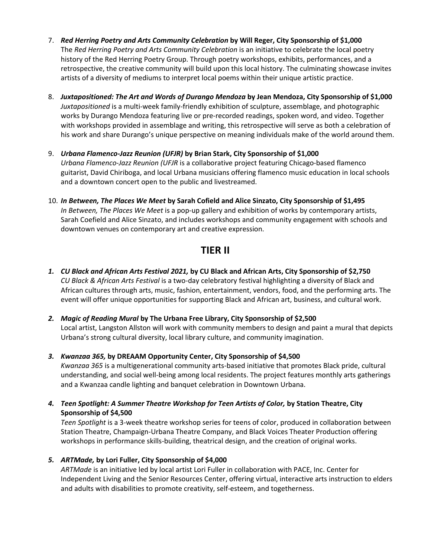- 7. *Red Herring Poetry and Arts Community Celebration* **by Will Reger, City Sponsorship of \$1,000** The *Red Herring Poetry and Arts Community Celebration* is an initiative to celebrate the local poetry history of the Red Herring Poetry Group. Through poetry workshops, exhibits, performances, and a retrospective, the creative community will build upon this local history. The culminating showcase invites artists of a diversity of mediums to interpret local poems within their unique artistic practice.
- 8. *Juxtapositioned: The Art and Words of Durango Mendoza* **by Jean Mendoza, City Sponsorship of \$1,000** *Juxtapositioned* is a multi-week family-friendly exhibition of sculpture, assemblage, and photographic works by Durango Mendoza featuring live or pre-recorded readings, spoken word, and video. Together with workshops provided in assemblage and writing, this retrospective will serve as both a celebration of his work and share Durango's unique perspective on meaning individuals make of the world around them.
- 9. *Urbana Flamenco-Jazz Reunion (UFJR)* **by Brian Stark, City Sponsorship of \$1,000** *Urbana Flamenco-Jazz Reunion (UFJR* is a collaborative project featuring Chicago-based flamenco guitarist, David Chiriboga, and local Urbana musicians offering flamenco music education in local schools and a downtown concert open to the public and livestreamed.
- 10. *In Between, The Places We Meet* **by Sarah Cofield and Alice Sinzato, City Sponsorship of \$1,495** *In Between, The Places We Meet* is a pop-up gallery and exhibition of works by contemporary artists, Sarah Coefield and Alice Sinzato, and includes workshops and community engagement with schools and downtown venues on contemporary art and creative expression.

# **TIER II**

- *1. CU Black and African Arts Festival 2021,* **by CU Black and African Arts, City Sponsorship of \$2,750** *CU Black & African Arts Festival* is a two-day celebratory festival highlighting a diversity of Black and African cultures through arts, music, fashion, entertainment, vendors, food, and the performing arts. The event will offer unique opportunities for supporting Black and African art, business, and cultural work.
- *2. Magic of Reading Mural* **by The Urbana Free Library, City Sponsorship of \$2,500** Local artist, Langston Allston will work with community members to design and paint a mural that depicts Urbana's strong cultural diversity, local library culture, and community imagination.
- *3. Kwanzaa 365,* **by DREAAM Opportunity Center, City Sponsorship of \$4,500**

*Kwanzaa 365* is a multigenerational community arts-based initiative that promotes Black pride, cultural understanding, and social well-being among local residents. The project features monthly arts gatherings and a Kwanzaa candle lighting and banquet celebration in Downtown Urbana.

*4. Teen Spotlight: A Summer Theatre Workshop for Teen Artists of Color,* **by Station Theatre, City Sponsorship of \$4,500**

*Teen Spotlight* is a 3-week theatre workshop series for teens of color, produced in collaboration between Station Theatre, Champaign-Urbana Theatre Company, and Black Voices Theater Production offering workshops in performance skills-building, theatrical design, and the creation of original works.

*5. ARTMade,* **by Lori Fuller, City Sponsorship of \$4,000**

*ARTMade* is an initiative led by local artist Lori Fuller in collaboration with PACE, Inc. Center for Independent Living and the Senior Resources Center, offering virtual, interactive arts instruction to elders and adults with disabilities to promote creativity, self-esteem, and togetherness.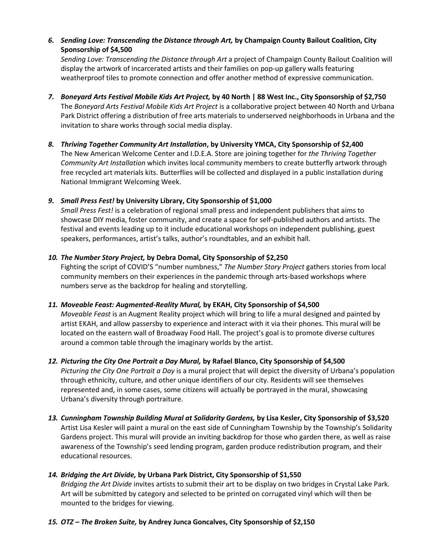# *6. Sending Love: Transcending the Distance through Art,* **by Champaign County Bailout Coalition, City Sponsorship of \$4,500**

*Sending Love: Transcending the Distance through Art* a project of Champaign County Bailout Coalition will display the artwork of incarcerated artists and their families on pop-up gallery walls featuring weatherproof tiles to promote connection and offer another method of expressive communication.

- *7. Boneyard Arts Festival Mobile Kids Art Project,* **by 40 North | 88 West Inc., City Sponsorship of \$2,750** The *Boneyard Arts Festival Mobile Kids Art Project* is a collaborative project between 40 North and Urbana Park District offering a distribution of free arts materials to underserved neighborhoods in Urbana and the invitation to share works through social media display.
- *8. Thriving Together Community Art Installation***, by University YMCA, City Sponsorship of \$2,400** The New American Welcome Center and I.D.E.A. Store are joining together for *the Thriving Together Community Art Installation* which invites local community members to create butterfly artwork through free recycled art materials kits. Butterflies will be collected and displayed in a public installation during National Immigrant Welcoming Week.

# *9. Small Press Fest!* **by University Library, City Sponsorship of \$1,000**

*Small Press Fest!* is a celebration of regional small press and independent publishers that aims to showcase DIY media, foster community, and create a space for self-published authors and artists. The festival and events leading up to it include educational workshops on independent publishing, guest speakers, performances, artist's talks, author's roundtables, and an exhibit hall.

# *10. The Number Story Project,* **by Debra Domal, City Sponsorship of \$2,250**

Fighting the script of COVID'S "number numbness," *The Number Story Project* gathers stories from local community members on their experiences in the pandemic through arts-based workshops where numbers serve as the backdrop for healing and storytelling.

# *11. Moveable Feast: Augmented-Reality Mural,* **by EKAH, City Sponsorship of \$4,500**

*Moveable Feast* is an Augment Reality project which will bring to life a mural designed and painted by artist EKAH, and allow passersby to experience and interact with it via their phones. This mural will be located on the eastern wall of Broadway Food Hall. The project's goal is to promote diverse cultures around a common table through the imaginary worlds by the artist.

# *12. Picturing the City One Portrait a Day Mural,* **by Rafael Blanco, City Sponsorship of \$4,500**

*Picturing the City One Portrait a Day* is a mural project that will depict the diversity of Urbana's population through ethnicity, culture, and other unique identifiers of our city. Residents will see themselves represented and, in some cases, some citizens will actually be portrayed in the mural, showcasing Urbana's diversity through portraiture.

*13. Cunningham Township Building Mural at Solidarity Gardens,* **by Lisa Kesler, City Sponsorship of \$3,520** Artist Lisa Kesler will paint a mural on the east side of Cunningham Township by the Township's Solidarity Gardens project. This mural will provide an inviting backdrop for those who garden there, as well as raise awareness of the Township's seed lending program, garden produce redistribution program, and their educational resources.

# *14. Bridging the Art Divide,* **by Urbana Park District, City Sponsorship of \$1,550**

*Bridging the Art Divide* invites artists to submit their art to be display on two bridges in Crystal Lake Park. Art will be submitted by category and selected to be printed on corrugated vinyl which will then be mounted to the bridges for viewing.

# *15. OTZ – The Broken Suite,* **by Andrey Junca Goncalves, City Sponsorship of \$2,150**